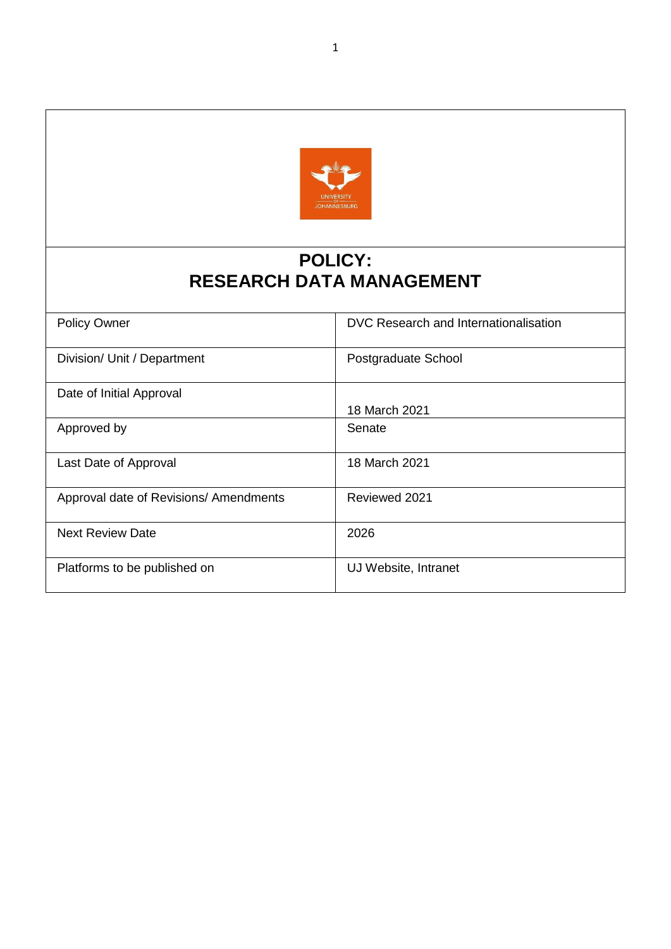

# **POLICY: RESEARCH DATA MANAGEMENT**

| <b>Policy Owner</b>                    | DVC Research and Internationalisation |
|----------------------------------------|---------------------------------------|
| Division/ Unit / Department            | Postgraduate School                   |
| Date of Initial Approval               |                                       |
|                                        | 18 March 2021                         |
| Approved by                            | Senate                                |
| Last Date of Approval                  | 18 March 2021                         |
| Approval date of Revisions/ Amendments | Reviewed 2021                         |
| <b>Next Review Date</b>                | 2026                                  |
| Platforms to be published on           | UJ Website, Intranet                  |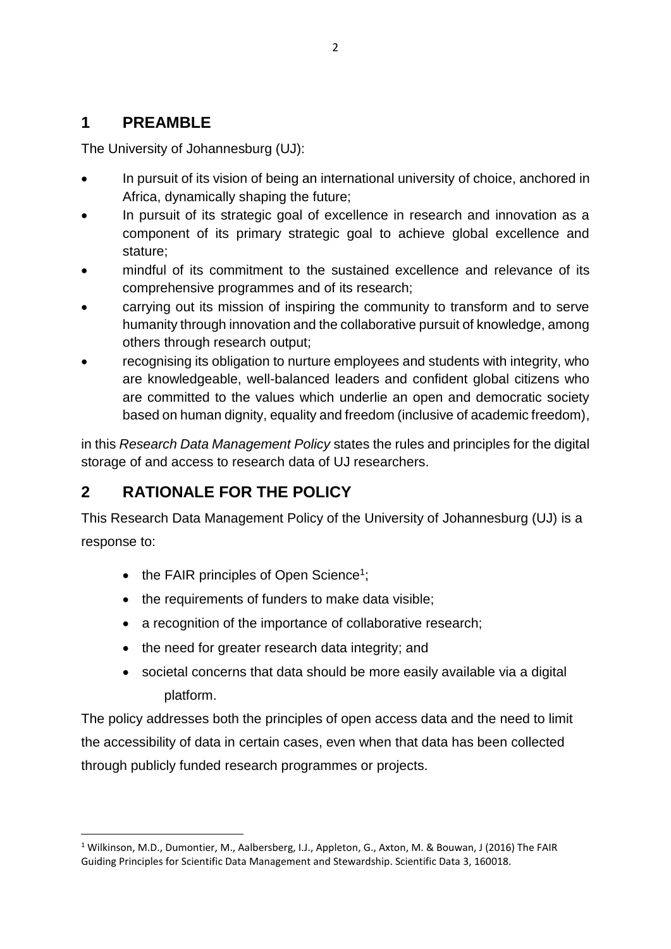## **1 PREAMBLE**

The University of Johannesburg (UJ):

- In pursuit of its vision of being an international university of choice, anchored in Africa, dynamically shaping the future;
- In pursuit of its strategic goal of excellence in research and innovation as a component of its primary strategic goal to achieve global excellence and stature;
- mindful of its commitment to the sustained excellence and relevance of its comprehensive programmes and of its research;
- carrying out its mission of inspiring the community to transform and to serve humanity through innovation and the collaborative pursuit of knowledge, among others through research output;
- recognising its obligation to nurture employees and students with integrity, who are knowledgeable, well-balanced leaders and confident global citizens who are committed to the values which underlie an open and democratic society based on human dignity, equality and freedom (inclusive of academic freedom),

in this *Research Data Management Policy* states the rules and principles for the digital storage of and access to research data of UJ researchers.

# **2 RATIONALE FOR THE POLICY**

1

This Research Data Management Policy of the University of Johannesburg (UJ) is a response to:

- the FAIR principles of Open Science<sup>1</sup>;
- the requirements of funders to make data visible;
- a recognition of the importance of collaborative research:
- the need for greater research data integrity; and
- societal concerns that data should be more easily available via a digital platform.

The policy addresses both the principles of open access data and the need to limit the accessibility of data in certain cases, even when that data has been collected through publicly funded research programmes or projects.

<sup>1</sup> Wilkinson, M.D., Dumontier, M., Aalbersberg, I.J., Appleton, G., Axton, M. & Bouwan, J (2016) The FAIR Guiding Principles for Scientific Data Management and Stewardship. Scientific Data 3, 160018.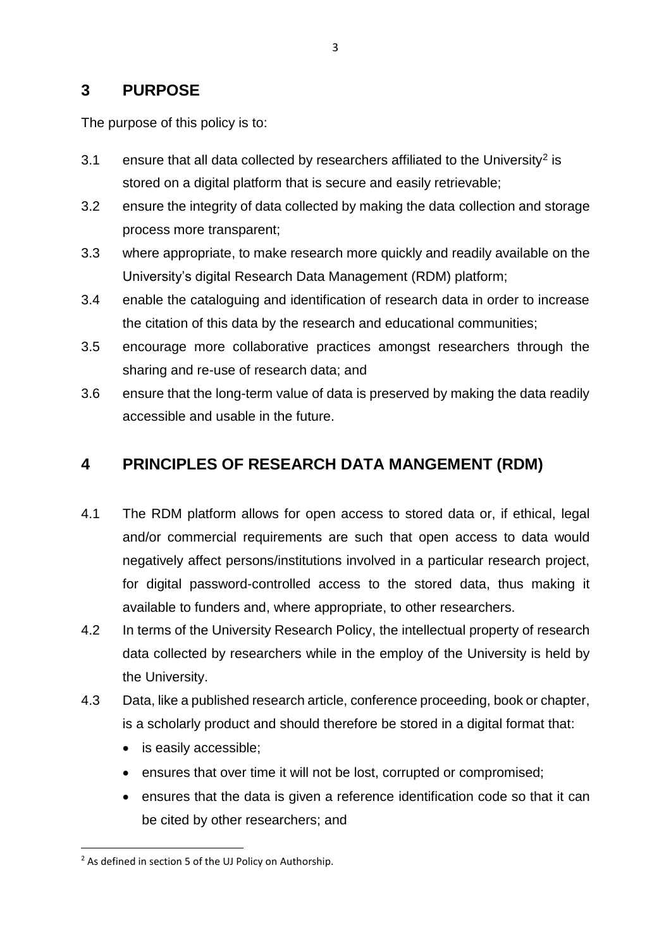### **3 PURPOSE**

The purpose of this policy is to:

- 3.1 ensure that all data collected by researchers affiliated to the University<sup>2</sup> is stored on a digital platform that is secure and easily retrievable;
- 3.2 ensure the integrity of data collected by making the data collection and storage process more transparent;
- 3.3 where appropriate, to make research more quickly and readily available on the University's digital Research Data Management (RDM) platform;
- 3.4 enable the cataloguing and identification of research data in order to increase the citation of this data by the research and educational communities;
- 3.5 encourage more collaborative practices amongst researchers through the sharing and re-use of research data; and
- 3.6 ensure that the long-term value of data is preserved by making the data readily accessible and usable in the future.

## **4 PRINCIPLES OF RESEARCH DATA MANGEMENT (RDM)**

- 4.1 The RDM platform allows for open access to stored data or, if ethical, legal and/or commercial requirements are such that open access to data would negatively affect persons/institutions involved in a particular research project, for digital password-controlled access to the stored data, thus making it available to funders and, where appropriate, to other researchers.
- 4.2 In terms of the University Research Policy, the intellectual property of research data collected by researchers while in the employ of the University is held by the University.
- 4.3 Data, like a published research article, conference proceeding, book or chapter, is a scholarly product and should therefore be stored in a digital format that:
	- is easily accessible;
	- ensures that over time it will not be lost, corrupted or compromised;
	- ensures that the data is given a reference identification code so that it can be cited by other researchers; and

**.** 

<sup>&</sup>lt;sup>2</sup> As defined in section 5 of the UJ Policy on Authorship.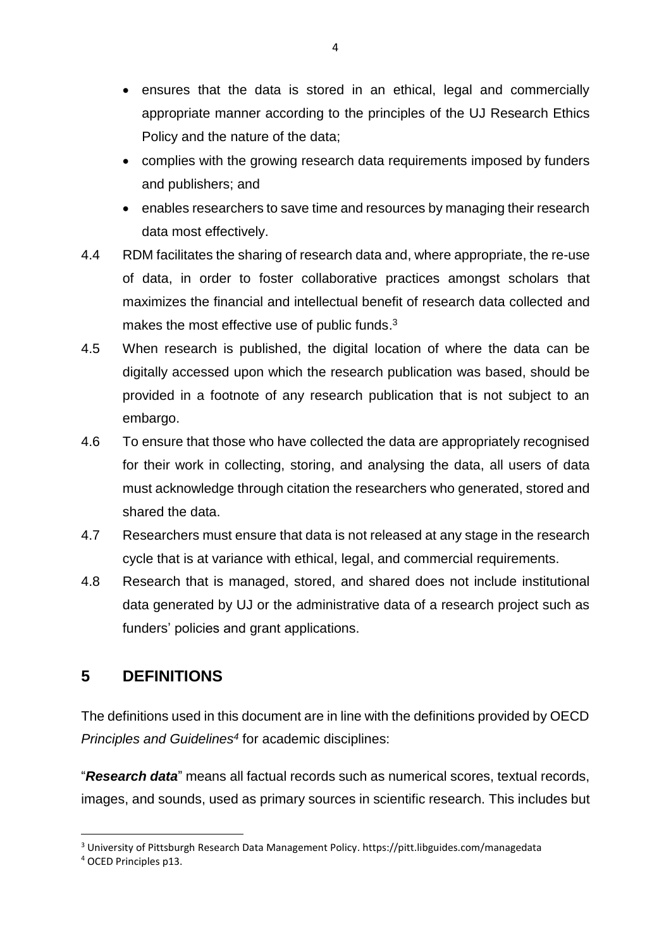- ensures that the data is stored in an ethical, legal and commercially appropriate manner according to the principles of the UJ Research Ethics Policy and the nature of the data;
- complies with the growing research data requirements imposed by funders and publishers; and
- enables researchers to save time and resources by managing their research data most effectively.
- 4.4 RDM facilitates the sharing of research data and, where appropriate, the re-use of data, in order to foster collaborative practices amongst scholars that maximizes the financial and intellectual benefit of research data collected and makes the most effective use of public funds.<sup>3</sup>
- 4.5 When research is published, the digital location of where the data can be digitally accessed upon which the research publication was based, should be provided in a footnote of any research publication that is not subject to an embargo.
- 4.6 To ensure that those who have collected the data are appropriately recognised for their work in collecting, storing, and analysing the data, all users of data must acknowledge through citation the researchers who generated, stored and shared the data.
- 4.7 Researchers must ensure that data is not released at any stage in the research cycle that is at variance with ethical, legal, and commercial requirements.
- 4.8 Research that is managed, stored, and shared does not include institutional data generated by UJ or the administrative data of a research project such as funders' policies and grant applications.

# **5 DEFINITIONS**

The definitions used in this document are in line with the definitions provided by OECD *Principles and Guidelines<sup>4</sup>* for academic disciplines:

"*Research data*" means all factual records such as numerical scores, textual records, images, and sounds, used as primary sources in scientific research. This includes but

1

<sup>3</sup> University of Pittsburgh Research Data Management Policy. https://pitt.libguides.com/managedata

<sup>4</sup> OCED Principles p13.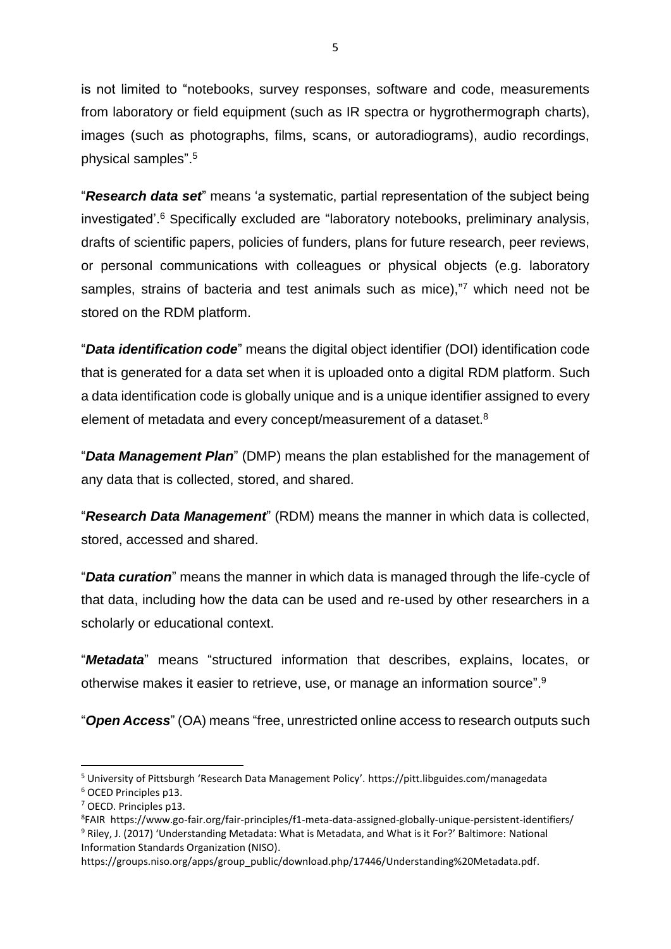is not limited to "notebooks, survey responses, software and code, measurements from laboratory or field equipment (such as IR spectra or hygrothermograph charts), images (such as photographs, films, scans, or autoradiograms), audio recordings, physical samples".<sup>5</sup>

"*Research data set*" means 'a systematic, partial representation of the subject being investigated'.<sup>6</sup> Specifically excluded are "laboratory notebooks, preliminary analysis, drafts of scientific papers, policies of funders, plans for future research, peer reviews, or personal communications with colleagues or physical objects (e.g. laboratory samples, strains of bacteria and test animals such as mice),"<sup>7</sup> which need not be stored on the RDM platform.

"*Data identification code*" means the digital object identifier (DOI) identification code that is generated for a data set when it is uploaded onto a digital RDM platform. Such a data identification code is globally unique and is a unique identifier assigned to every element of metadata and every concept/measurement of a dataset.<sup>8</sup>

"*Data Management Plan*" (DMP) means the plan established for the management of any data that is collected, stored, and shared.

"*Research Data Management*" (RDM) means the manner in which data is collected, stored, accessed and shared.

"*Data curation*" means the manner in which data is managed through the life-cycle of that data, including how the data can be used and re-used by other researchers in a scholarly or educational context.

"*Metadata*" means "structured information that describes, explains, locates, or otherwise makes it easier to retrieve, use, or manage an information source".<sup>9</sup>

"*Open Access*" (OA) means "free, unrestricted online access to research outputs such

**.** 

<sup>5</sup> University of Pittsburgh 'Research Data Management Policy'. https://pitt.libguides.com/managedata <sup>6</sup> OCED Principles p13.

<sup>7</sup> OECD. Principles p13.

<sup>8</sup> FAIR https://www.go-fair.org/fair-principles/f1-meta-data-assigned-globally-unique-persistent-identifiers/ <sup>9</sup> Riley, J. (2017) 'Understanding Metadata: What is Metadata, and What is it For?' Baltimore: National Information Standards Organization (NISO).

https://groups.niso.org/apps/group\_public/download.php/17446/Understanding%20Metadata.pdf.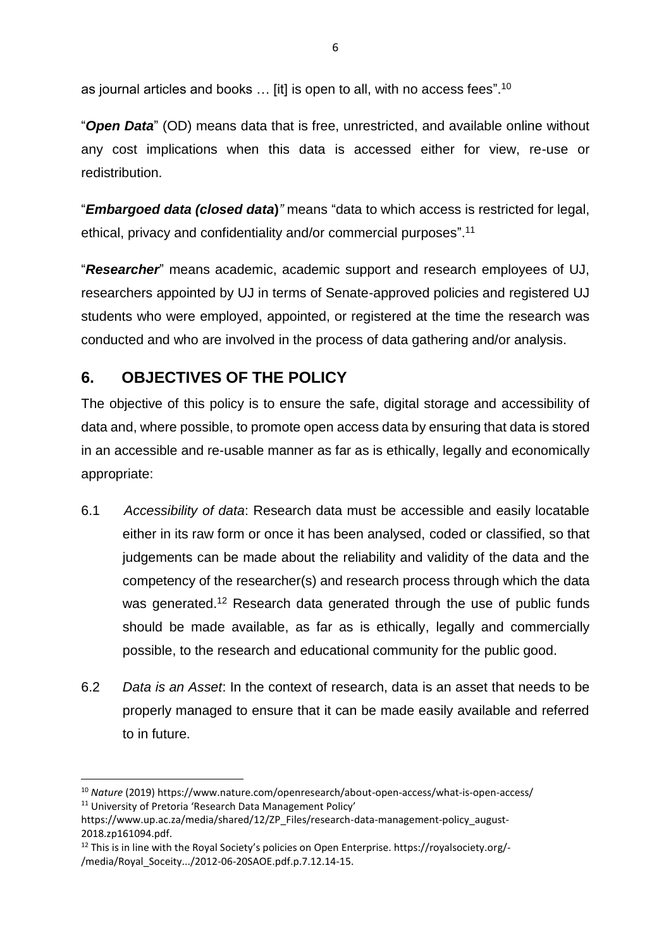as journal articles and books … [it] is open to all, with no access fees".<sup>10</sup>

"*Open Data*" (OD) means data that is free, unrestricted, and available online without any cost implications when this data is accessed either for view, re-use or redistribution.

"*Embargoed data (closed data***)***"* means "data to which access is restricted for legal, ethical, privacy and confidentiality and/or commercial purposes".<sup>11</sup>

"*Researcher*" means academic, academic support and research employees of UJ, researchers appointed by UJ in terms of Senate-approved policies and registered UJ students who were employed, appointed, or registered at the time the research was conducted and who are involved in the process of data gathering and/or analysis.

## **6. OBJECTIVES OF THE POLICY**

**.** 

The objective of this policy is to ensure the safe, digital storage and accessibility of data and, where possible, to promote open access data by ensuring that data is stored in an accessible and re-usable manner as far as is ethically, legally and economically appropriate:

- 6.1 *Accessibility of data*: Research data must be accessible and easily locatable either in its raw form or once it has been analysed, coded or classified, so that judgements can be made about the reliability and validity of the data and the competency of the researcher(s) and research process through which the data was generated.<sup>12</sup> Research data generated through the use of public funds should be made available, as far as is ethically, legally and commercially possible, to the research and educational community for the public good.
- 6.2 *Data is an Asset*: In the context of research, data is an asset that needs to be properly managed to ensure that it can be made easily available and referred to in future.

<sup>10</sup> *Nature* (2019) https://www.nature.com/openresearch/about-open-access/what-is-open-access/ <sup>11</sup> University of Pretoria 'Research Data Management Policy'

https://www.up.ac.za/media/shared/12/ZP\_Files/research-data-management-policy\_august-2018.zp161094.pdf.

<sup>12</sup> This is in line with the Royal Society's policies on Open Enterprise. https://royalsociety.org/- /media/Royal\_Soceity.../2012-06-20SAOE.pdf.p.7.12.14-15.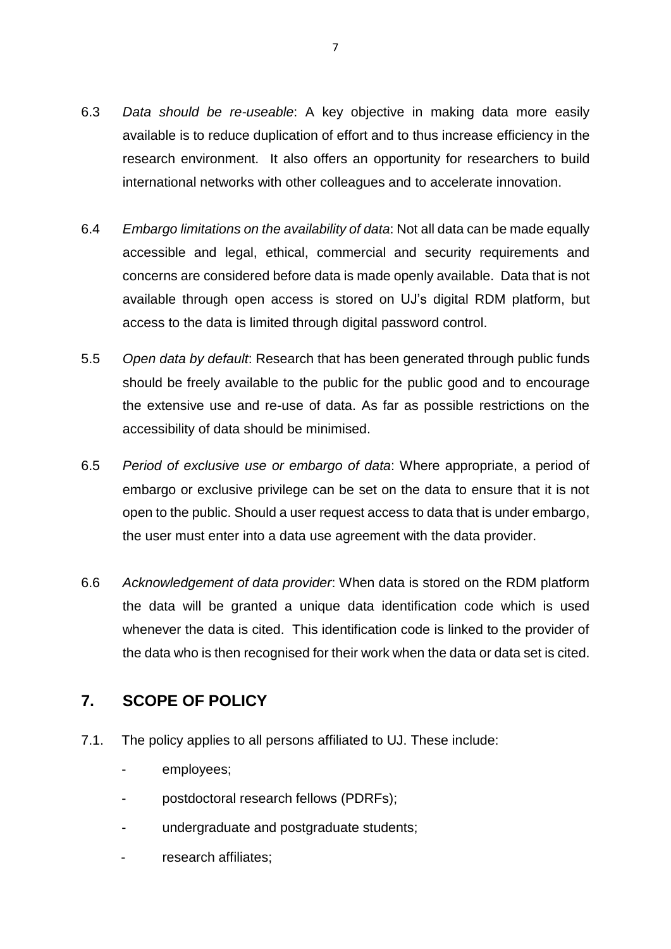- 6.3 *Data should be re-useable*: A key objective in making data more easily available is to reduce duplication of effort and to thus increase efficiency in the research environment. It also offers an opportunity for researchers to build international networks with other colleagues and to accelerate innovation.
- 6.4 *Embargo limitations on the availability of data*: Not all data can be made equally accessible and legal, ethical, commercial and security requirements and concerns are considered before data is made openly available. Data that is not available through open access is stored on UJ's digital RDM platform, but access to the data is limited through digital password control.
- 5.5 *Open data by default*: Research that has been generated through public funds should be freely available to the public for the public good and to encourage the extensive use and re-use of data. As far as possible restrictions on the accessibility of data should be minimised.
- 6.5 *Period of exclusive use or embargo of data*: Where appropriate, a period of embargo or exclusive privilege can be set on the data to ensure that it is not open to the public. Should a user request access to data that is under embargo, the user must enter into a data use agreement with the data provider.
- 6.6 *Acknowledgement of data provider*: When data is stored on the RDM platform the data will be granted a unique data identification code which is used whenever the data is cited. This identification code is linked to the provider of the data who is then recognised for their work when the data or data set is cited.

# **7. SCOPE OF POLICY**

- 7.1. The policy applies to all persons affiliated to UJ. These include:
	- employees;
	- postdoctoral research fellows (PDRFs);
	- undergraduate and postgraduate students;
	- research affiliates: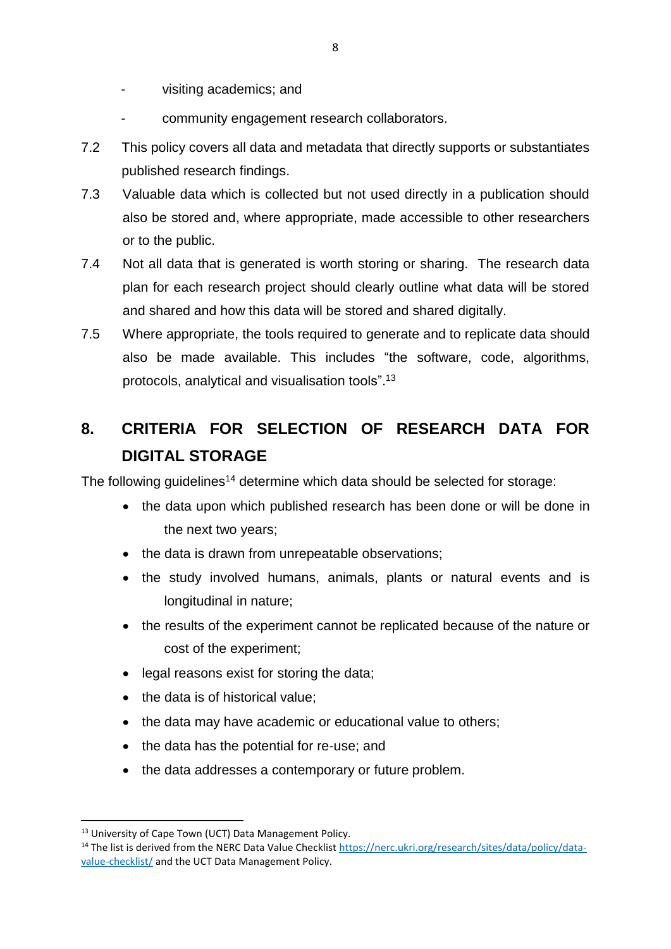- visiting academics; and
- community engagement research collaborators.
- 7.2 This policy covers all data and metadata that directly supports or substantiates published research findings.
- 7.3 Valuable data which is collected but not used directly in a publication should also be stored and, where appropriate, made accessible to other researchers or to the public.
- 7.4 Not all data that is generated is worth storing or sharing. The research data plan for each research project should clearly outline what data will be stored and shared and how this data will be stored and shared digitally.
- 7.5 Where appropriate, the tools required to generate and to replicate data should also be made available. This includes "the software, code, algorithms, protocols, analytical and visualisation tools".<sup>13</sup>

# **8. CRITERIA FOR SELECTION OF RESEARCH DATA FOR DIGITAL STORAGE**

The following guidelines<sup>14</sup> determine which data should be selected for storage:

- the data upon which published research has been done or will be done in the next two years;
- the data is drawn from unrepeatable observations;
- the study involved humans, animals, plants or natural events and is longitudinal in nature;
- the results of the experiment cannot be replicated because of the nature or cost of the experiment;
- legal reasons exist for storing the data;
- the data is of historical value:
- the data may have academic or educational value to others:
- the data has the potential for re-use; and
- the data addresses a contemporary or future problem.

**.** 

<sup>&</sup>lt;sup>13</sup> University of Cape Town (UCT) Data Management Policy.

<sup>&</sup>lt;sup>14</sup> The list is derived from the NERC Data Value Checklist [https://nerc.ukri.org/research/sites/data/policy/data](https://nerc.ukri.org/research/sites/data/policy/data-value-checklist/)[value-checklist/](https://nerc.ukri.org/research/sites/data/policy/data-value-checklist/) and the UCT Data Management Policy.